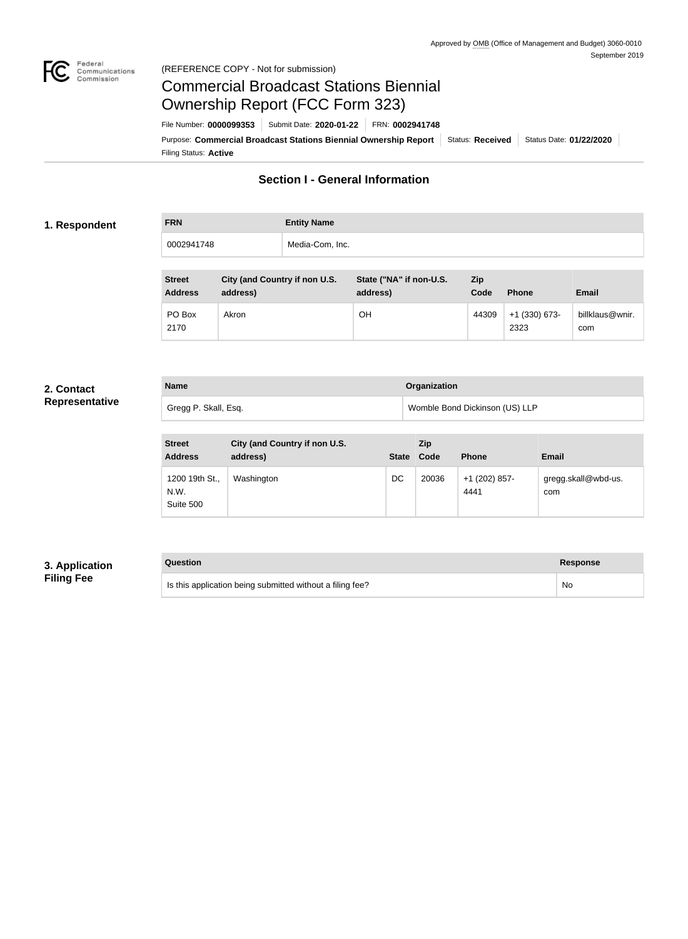

### Federal<br>Communications<br>Commission (REFERENCE COPY - Not for submission)

# Commercial Broadcast Stations Biennial Ownership Report (FCC Form 323)

Filing Status: **Active** Purpose: Commercial Broadcast Stations Biennial Ownership Report Status: Received Status Date: 01/22/2020 File Number: **0000099353** Submit Date: **2020-01-22** FRN: **0002941748**

# **Section I - General Information**

### **1. Respondent**

**FRN Entity Name** 0002941748 Media-Com, Inc.

| <b>Street</b><br><b>Address</b> | City (and Country if non U.S.<br>address) | State ("NA" if non-U.S.<br>address) | <b>Zip</b><br>Code | <b>Phone</b>            | <b>Email</b>           |
|---------------------------------|-------------------------------------------|-------------------------------------|--------------------|-------------------------|------------------------|
| PO Box<br>2170                  | Akron                                     | OН                                  | 44309              | $+1$ (330) 673-<br>2323 | billklaus@wnir.<br>com |

#### **2. Contact Representative**

| <b>Name</b>          | Organization                   |
|----------------------|--------------------------------|
| Gregg P. Skall, Esq. | Womble Bond Dickinson (US) LLP |

| <b>Street</b><br><b>Address</b>     | City (and Country if non U.S.<br>address) | <b>State</b> | Zip<br>Code | <b>Phone</b>          | <b>Email</b>               |
|-------------------------------------|-------------------------------------------|--------------|-------------|-----------------------|----------------------------|
| 1200 19th St.,<br>N.W.<br>Suite 500 | Washington                                | DC           | 20036       | +1 (202) 857-<br>4441 | gregg.skall@wbd-us.<br>com |

## **3. Application Filing Fee**

## **Question Response**

Is this application being submitted without a filing fee? No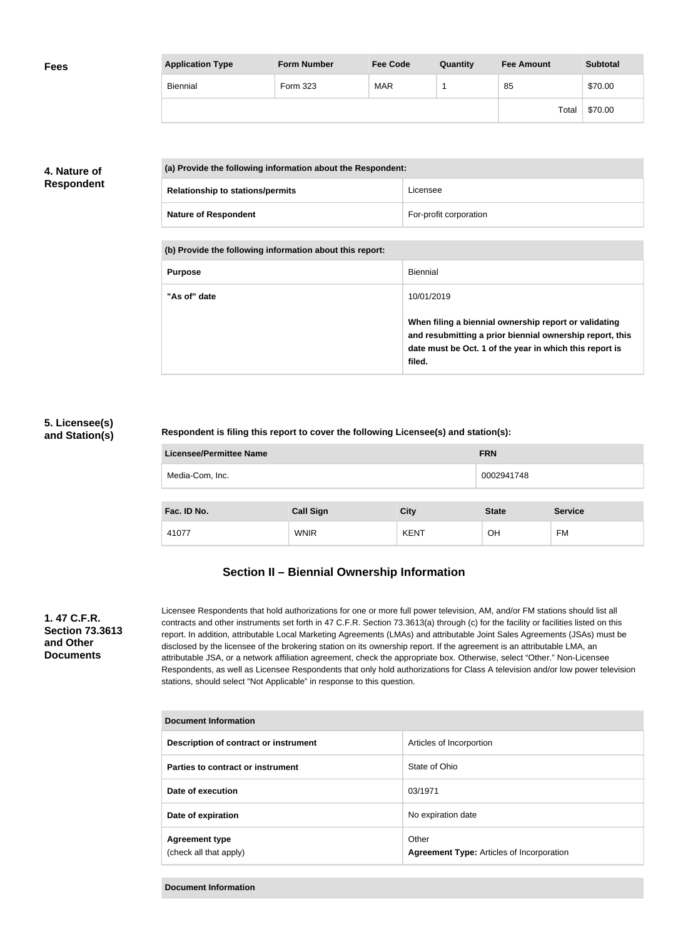| <b>Fees</b> | <b>Application Type</b> | <b>Form Number</b> | <b>Fee Code</b> | Quantity | <b>Fee Amount</b> | <b>Subtotal</b> |
|-------------|-------------------------|--------------------|-----------------|----------|-------------------|-----------------|
|             | Biennial                | Form 323           | <b>MAR</b>      |          | 85                | \$70.00         |
|             |                         |                    |                 |          | Total             | \$70.00         |

## **4. Nature of Respondent**

| (a) Provide the following information about the Respondent: |                        |
|-------------------------------------------------------------|------------------------|
| <b>Relationship to stations/permits</b>                     | Licensee               |
| <b>Nature of Respondent</b>                                 | For-profit corporation |

**(b) Provide the following information about this report:**

| <b>Purpose</b> | Biennial                                                                                                                                                                               |
|----------------|----------------------------------------------------------------------------------------------------------------------------------------------------------------------------------------|
| "As of" date   | 10/01/2019                                                                                                                                                                             |
|                | When filing a biennial ownership report or validating<br>and resubmitting a prior biennial ownership report, this<br>date must be Oct. 1 of the year in which this report is<br>filed. |

## **5. Licensee(s) and Station(s)**

#### **Respondent is filing this report to cover the following Licensee(s) and station(s):**

| Licensee/Permittee Name |                  |             | <b>FRN</b>   |                |
|-------------------------|------------------|-------------|--------------|----------------|
| Media-Com, Inc.         |                  |             | 0002941748   |                |
|                         |                  |             |              |                |
| Fac. ID No.             | <b>Call Sign</b> | <b>City</b> | <b>State</b> | <b>Service</b> |
| 41077                   | <b>WNIR</b>      | <b>KENT</b> | <b>OH</b>    | FM             |

# **Section II – Biennial Ownership Information**

#### **1. 47 C.F.R. Section 73.3613 and Other Documents**

Licensee Respondents that hold authorizations for one or more full power television, AM, and/or FM stations should list all contracts and other instruments set forth in 47 C.F.R. Section 73.3613(a) through (c) for the facility or facilities listed on this report. In addition, attributable Local Marketing Agreements (LMAs) and attributable Joint Sales Agreements (JSAs) must be disclosed by the licensee of the brokering station on its ownership report. If the agreement is an attributable LMA, an attributable JSA, or a network affiliation agreement, check the appropriate box. Otherwise, select "Other." Non-Licensee Respondents, as well as Licensee Respondents that only hold authorizations for Class A television and/or low power television stations, should select "Not Applicable" in response to this question.

| <b>Document Information</b>                     |                                                           |
|-------------------------------------------------|-----------------------------------------------------------|
| Description of contract or instrument           | Articles of Incorportion                                  |
| Parties to contract or instrument               | State of Ohio                                             |
| Date of execution                               | 03/1971                                                   |
| Date of expiration                              | No expiration date                                        |
| <b>Agreement type</b><br>(check all that apply) | Other<br><b>Agreement Type: Articles of Incorporation</b> |

**Document Information**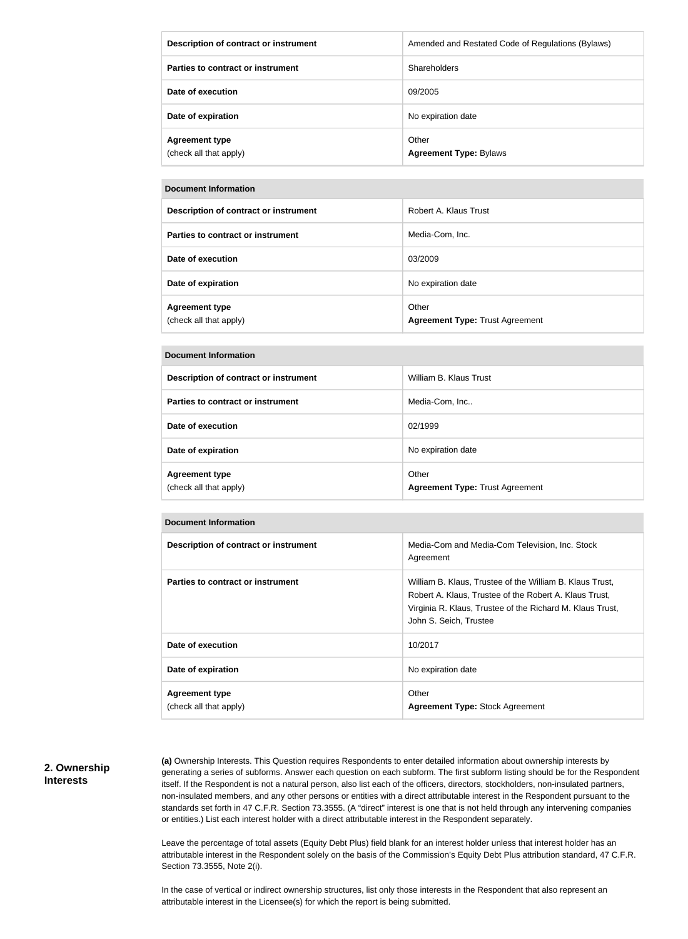| Description of contract or instrument           | Amended and Restated Code of Regulations (Bylaws) |
|-------------------------------------------------|---------------------------------------------------|
| Parties to contract or instrument               | <b>Shareholders</b>                               |
| Date of execution                               | 09/2005                                           |
| Date of expiration                              | No expiration date                                |
| <b>Agreement type</b><br>(check all that apply) | Other<br><b>Agreement Type: Bylaws</b>            |

#### **Document Information**

| Description of contract or instrument           | Robert A. Klaus Trust                           |
|-------------------------------------------------|-------------------------------------------------|
| Parties to contract or instrument               | Media-Com, Inc.                                 |
| Date of execution                               | 03/2009                                         |
| Date of expiration                              | No expiration date                              |
| <b>Agreement type</b><br>(check all that apply) | Other<br><b>Agreement Type: Trust Agreement</b> |

#### **Document Information**

| Description of contract or instrument           | William B. Klaus Trust                          |
|-------------------------------------------------|-------------------------------------------------|
| Parties to contract or instrument               | Media-Com, Inc                                  |
| Date of execution                               | 02/1999                                         |
| Date of expiration                              | No expiration date                              |
| <b>Agreement type</b><br>(check all that apply) | Other<br><b>Agreement Type: Trust Agreement</b> |

| Description of contract or instrument | Media-Com and Media-Com Television, Inc. Stock<br>Agreement                                                                                                                                               |
|---------------------------------------|-----------------------------------------------------------------------------------------------------------------------------------------------------------------------------------------------------------|
| Parties to contract or instrument     | William B. Klaus, Trustee of the William B. Klaus Trust,<br>Robert A. Klaus, Trustee of the Robert A. Klaus Trust,<br>Virginia R. Klaus, Trustee of the Richard M. Klaus Trust,<br>John S. Seich, Trustee |
| Date of execution                     | 10/2017                                                                                                                                                                                                   |
| Date of expiration                    | No expiration date                                                                                                                                                                                        |
| <b>Agreement type</b>                 | Other                                                                                                                                                                                                     |
| (check all that apply)                | <b>Agreement Type: Stock Agreement</b>                                                                                                                                                                    |

#### **2. Ownership Interests**

**(a)** Ownership Interests. This Question requires Respondents to enter detailed information about ownership interests by generating a series of subforms. Answer each question on each subform. The first subform listing should be for the Respondent itself. If the Respondent is not a natural person, also list each of the officers, directors, stockholders, non-insulated partners, non-insulated members, and any other persons or entities with a direct attributable interest in the Respondent pursuant to the standards set forth in 47 C.F.R. Section 73.3555. (A "direct" interest is one that is not held through any intervening companies or entities.) List each interest holder with a direct attributable interest in the Respondent separately.

Leave the percentage of total assets (Equity Debt Plus) field blank for an interest holder unless that interest holder has an attributable interest in the Respondent solely on the basis of the Commission's Equity Debt Plus attribution standard, 47 C.F.R. Section 73.3555, Note 2(i).

In the case of vertical or indirect ownership structures, list only those interests in the Respondent that also represent an attributable interest in the Licensee(s) for which the report is being submitted.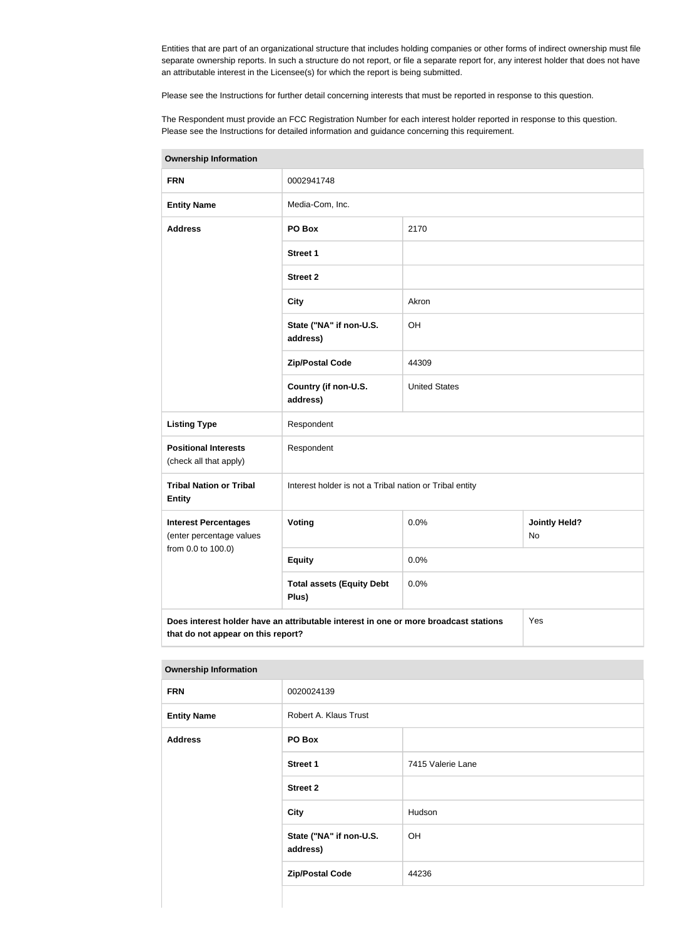Entities that are part of an organizational structure that includes holding companies or other forms of indirect ownership must file separate ownership reports. In such a structure do not report, or file a separate report for, any interest holder that does not have an attributable interest in the Licensee(s) for which the report is being submitted.

Please see the Instructions for further detail concerning interests that must be reported in response to this question.

The Respondent must provide an FCC Registration Number for each interest holder reported in response to this question. Please see the Instructions for detailed information and guidance concerning this requirement.

| <b>Ownership Information</b>                            |                                                                                      |                      |     |
|---------------------------------------------------------|--------------------------------------------------------------------------------------|----------------------|-----|
| <b>FRN</b>                                              | 0002941748                                                                           |                      |     |
| <b>Entity Name</b>                                      | Media-Com, Inc.                                                                      |                      |     |
| <b>Address</b>                                          | PO Box                                                                               | 2170                 |     |
|                                                         | <b>Street 1</b>                                                                      |                      |     |
|                                                         | <b>Street 2</b>                                                                      |                      |     |
|                                                         | <b>City</b>                                                                          | Akron                |     |
|                                                         | State ("NA" if non-U.S.<br>address)                                                  | OH                   |     |
|                                                         | <b>Zip/Postal Code</b>                                                               | 44309                |     |
|                                                         | Country (if non-U.S.<br>address)                                                     | <b>United States</b> |     |
| <b>Listing Type</b>                                     | Respondent                                                                           |                      |     |
| <b>Positional Interests</b><br>(check all that apply)   | Respondent                                                                           |                      |     |
| <b>Tribal Nation or Tribal</b><br><b>Entity</b>         | Interest holder is not a Tribal nation or Tribal entity                              |                      |     |
| <b>Interest Percentages</b><br>(enter percentage values | Voting<br>0.0%<br><b>Jointly Held?</b><br>No                                         |                      |     |
| from 0.0 to 100.0)                                      | <b>Equity</b>                                                                        | 0.0%                 |     |
|                                                         | <b>Total assets (Equity Debt</b><br>Plus)                                            | 0.0%                 |     |
| that do not appear on this report?                      | Does interest holder have an attributable interest in one or more broadcast stations |                      | Yes |

**Ownership Information**

| . .                          |                                     |                   |  |  |
|------------------------------|-------------------------------------|-------------------|--|--|
| <b>Ownership Information</b> |                                     |                   |  |  |
| <b>FRN</b>                   | 0020024139                          |                   |  |  |
| <b>Entity Name</b>           | Robert A. Klaus Trust               |                   |  |  |
| <b>Address</b>               | PO Box                              |                   |  |  |
|                              | Street 1                            | 7415 Valerie Lane |  |  |
|                              | <b>Street 2</b>                     |                   |  |  |
|                              | <b>City</b>                         | Hudson            |  |  |
|                              | State ("NA" if non-U.S.<br>address) | OH                |  |  |
|                              | <b>Zip/Postal Code</b>              | 44236             |  |  |
|                              |                                     |                   |  |  |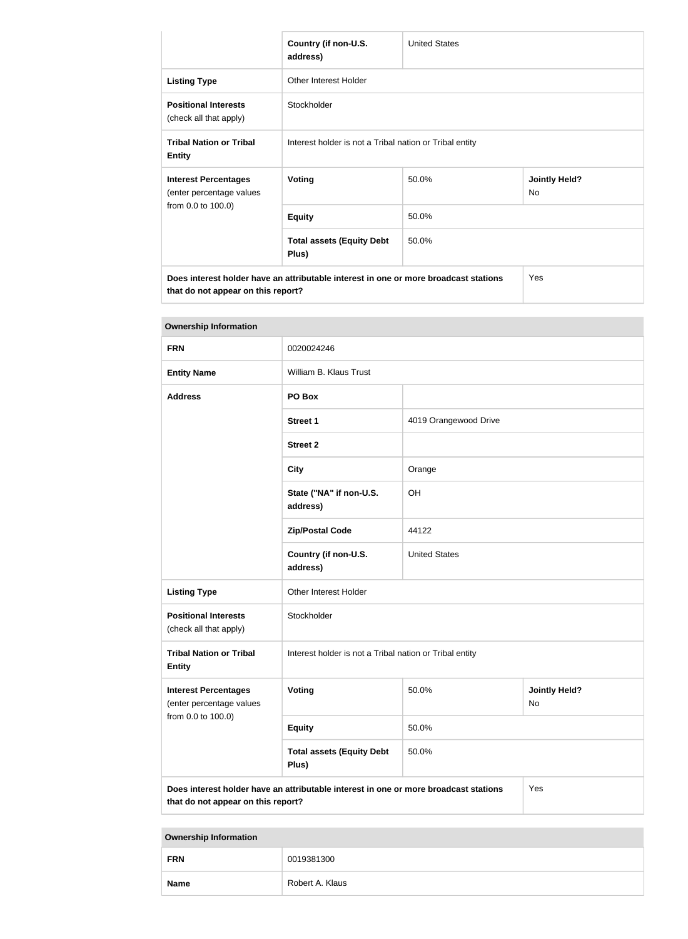|                                                                                      | Country (if non-U.S.<br>address)                        | <b>United States</b> |                            |
|--------------------------------------------------------------------------------------|---------------------------------------------------------|----------------------|----------------------------|
| <b>Listing Type</b>                                                                  | <b>Other Interest Holder</b>                            |                      |                            |
| <b>Positional Interests</b><br>(check all that apply)                                | Stockholder                                             |                      |                            |
| <b>Tribal Nation or Tribal</b><br><b>Entity</b>                                      | Interest holder is not a Tribal nation or Tribal entity |                      |                            |
| <b>Interest Percentages</b><br>(enter percentage values                              | Voting                                                  | 50.0%                | <b>Jointly Held?</b><br>No |
| from 0.0 to 100.0)                                                                   | <b>Equity</b>                                           | 50.0%                |                            |
|                                                                                      | <b>Total assets (Equity Debt</b><br>Plus)               | 50.0%                |                            |
| Does interest holder have an attributable interest in one or more broadcast stations |                                                         |                      | Yes                        |

**that do not appear on this report?**

| <b>Ownership Information</b>                                                                                                      |                                                         |                       |  |
|-----------------------------------------------------------------------------------------------------------------------------------|---------------------------------------------------------|-----------------------|--|
| <b>FRN</b>                                                                                                                        | 0020024246                                              |                       |  |
| <b>Entity Name</b>                                                                                                                | William B. Klaus Trust                                  |                       |  |
| <b>Address</b>                                                                                                                    | PO Box                                                  |                       |  |
|                                                                                                                                   | <b>Street 1</b>                                         | 4019 Orangewood Drive |  |
|                                                                                                                                   | <b>Street 2</b>                                         |                       |  |
|                                                                                                                                   | <b>City</b>                                             | Orange                |  |
|                                                                                                                                   | State ("NA" if non-U.S.<br>address)                     | OH                    |  |
|                                                                                                                                   | <b>Zip/Postal Code</b>                                  | 44122                 |  |
|                                                                                                                                   | Country (if non-U.S.<br>address)                        | <b>United States</b>  |  |
| <b>Listing Type</b>                                                                                                               | Other Interest Holder                                   |                       |  |
| <b>Positional Interests</b><br>(check all that apply)                                                                             | Stockholder                                             |                       |  |
| <b>Tribal Nation or Tribal</b><br><b>Entity</b>                                                                                   | Interest holder is not a Tribal nation or Tribal entity |                       |  |
| <b>Interest Percentages</b><br>(enter percentage values                                                                           | 50.0%<br>Voting<br><b>Jointly Held?</b><br><b>No</b>    |                       |  |
| from 0.0 to 100.0)                                                                                                                | <b>Equity</b>                                           | 50.0%                 |  |
|                                                                                                                                   | <b>Total assets (Equity Debt</b><br>Plus)               | 50.0%                 |  |
| Does interest holder have an attributable interest in one or more broadcast stations<br>Yes<br>that do not appear on this report? |                                                         |                       |  |

**Ownership Information**

| <b>FRN</b>  | 0019381300      |
|-------------|-----------------|
| <b>Name</b> | Robert A. Klaus |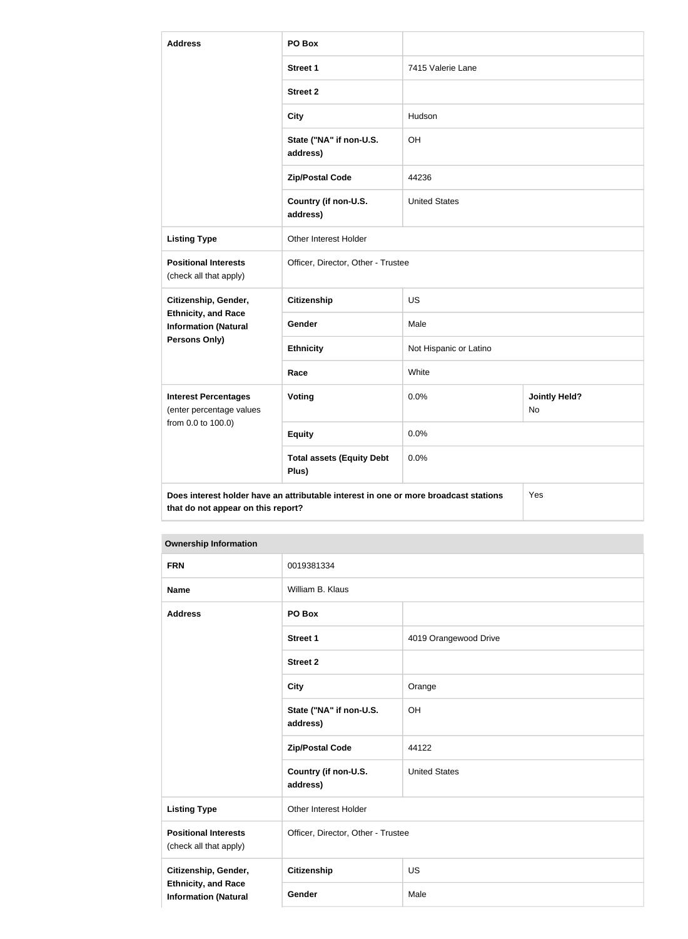| <b>Address</b>                                            | PO Box                                                                               |                        |                                   |
|-----------------------------------------------------------|--------------------------------------------------------------------------------------|------------------------|-----------------------------------|
|                                                           | <b>Street 1</b>                                                                      | 7415 Valerie Lane      |                                   |
|                                                           | <b>Street 2</b>                                                                      |                        |                                   |
|                                                           | <b>City</b>                                                                          | Hudson                 |                                   |
|                                                           | State ("NA" if non-U.S.<br>address)                                                  | OH                     |                                   |
|                                                           | <b>Zip/Postal Code</b>                                                               | 44236                  |                                   |
|                                                           | Country (if non-U.S.<br>address)                                                     | <b>United States</b>   |                                   |
| <b>Listing Type</b>                                       | Other Interest Holder                                                                |                        |                                   |
| <b>Positional Interests</b><br>(check all that apply)     | Officer, Director, Other - Trustee                                                   |                        |                                   |
| Citizenship, Gender,                                      | <b>Citizenship</b>                                                                   | <b>US</b>              |                                   |
| <b>Ethnicity, and Race</b><br><b>Information (Natural</b> | <b>Gender</b>                                                                        | Male                   |                                   |
| <b>Persons Only)</b>                                      | <b>Ethnicity</b>                                                                     | Not Hispanic or Latino |                                   |
|                                                           | Race                                                                                 | White                  |                                   |
| <b>Interest Percentages</b><br>(enter percentage values   | Voting                                                                               | 0.0%                   | <b>Jointly Held?</b><br><b>No</b> |
| from 0.0 to 100.0)                                        | <b>Equity</b>                                                                        | 0.0%                   |                                   |
|                                                           | <b>Total assets (Equity Debt</b><br>Plus)                                            | 0.0%                   |                                   |
| that do not appear on this report?                        | Does interest holder have an attributable interest in one or more broadcast stations |                        | Yes                               |

#### **Ownership Information**

| <b>FRN</b>                                                | 0019381334                          |                       |
|-----------------------------------------------------------|-------------------------------------|-----------------------|
| <b>Name</b>                                               | William B. Klaus                    |                       |
| <b>Address</b>                                            | PO Box                              |                       |
|                                                           | <b>Street 1</b>                     | 4019 Orangewood Drive |
|                                                           | <b>Street 2</b>                     |                       |
|                                                           | <b>City</b>                         | Orange                |
|                                                           | State ("NA" if non-U.S.<br>address) | OH                    |
|                                                           | <b>Zip/Postal Code</b>              | 44122                 |
|                                                           | Country (if non-U.S.<br>address)    | <b>United States</b>  |
| <b>Listing Type</b>                                       | Other Interest Holder               |                       |
| <b>Positional Interests</b><br>(check all that apply)     | Officer, Director, Other - Trustee  |                       |
| Citizenship, Gender,                                      | Citizenship                         | <b>US</b>             |
| <b>Ethnicity, and Race</b><br><b>Information (Natural</b> | Gender                              | Male                  |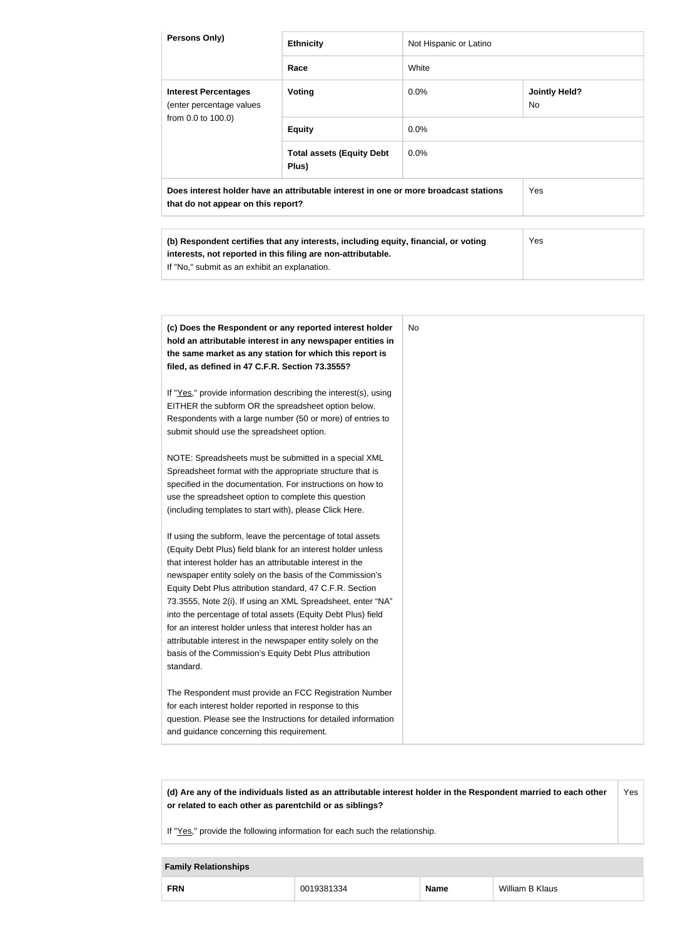| Persons Only)                                                                                                                                                                                                                                                                                                                                                                                                                                                                                                                                                                                                                                                  | <b>Ethnicity</b>                                                                                                                                                                                                                                                                                                                                                                                                                                                                                                                                                                                                                                                                                                                                                  | Not Hispanic or Latino |                                   |
|----------------------------------------------------------------------------------------------------------------------------------------------------------------------------------------------------------------------------------------------------------------------------------------------------------------------------------------------------------------------------------------------------------------------------------------------------------------------------------------------------------------------------------------------------------------------------------------------------------------------------------------------------------------|-------------------------------------------------------------------------------------------------------------------------------------------------------------------------------------------------------------------------------------------------------------------------------------------------------------------------------------------------------------------------------------------------------------------------------------------------------------------------------------------------------------------------------------------------------------------------------------------------------------------------------------------------------------------------------------------------------------------------------------------------------------------|------------------------|-----------------------------------|
|                                                                                                                                                                                                                                                                                                                                                                                                                                                                                                                                                                                                                                                                | Race                                                                                                                                                                                                                                                                                                                                                                                                                                                                                                                                                                                                                                                                                                                                                              | White                  |                                   |
| <b>Interest Percentages</b><br>(enter percentage values                                                                                                                                                                                                                                                                                                                                                                                                                                                                                                                                                                                                        | <b>Voting</b>                                                                                                                                                                                                                                                                                                                                                                                                                                                                                                                                                                                                                                                                                                                                                     | 0.0%                   | <b>Jointly Held?</b><br><b>No</b> |
| from 0.0 to 100.0)                                                                                                                                                                                                                                                                                                                                                                                                                                                                                                                                                                                                                                             | <b>Equity</b>                                                                                                                                                                                                                                                                                                                                                                                                                                                                                                                                                                                                                                                                                                                                                     | 0.0%                   |                                   |
|                                                                                                                                                                                                                                                                                                                                                                                                                                                                                                                                                                                                                                                                | <b>Total assets (Equity Debt</b><br>Plus)                                                                                                                                                                                                                                                                                                                                                                                                                                                                                                                                                                                                                                                                                                                         | 0.0%                   |                                   |
| that do not appear on this report?                                                                                                                                                                                                                                                                                                                                                                                                                                                                                                                                                                                                                             | Does interest holder have an attributable interest in one or more broadcast stations                                                                                                                                                                                                                                                                                                                                                                                                                                                                                                                                                                                                                                                                              |                        | Yes                               |
| If "No," submit as an exhibit an explanation.                                                                                                                                                                                                                                                                                                                                                                                                                                                                                                                                                                                                                  | (b) Respondent certifies that any interests, including equity, financial, or voting<br>interests, not reported in this filing are non-attributable.                                                                                                                                                                                                                                                                                                                                                                                                                                                                                                                                                                                                               |                        | Yes                               |
| filed, as defined in 47 C.F.R. Section 73.3555?<br>EITHER the subform OR the spreadsheet option below.<br>submit should use the spreadsheet option.<br>Spreadsheet format with the appropriate structure that is<br>use the spreadsheet option to complete this question<br>(including templates to start with), please Click Here.<br>that interest holder has an attributable interest in the<br>Equity Debt Plus attribution standard, 47 C.F.R. Section<br>for an interest holder unless that interest holder has an<br>attributable interest in the newspaper entity solely on the<br>basis of the Commission's Equity Debt Plus attribution<br>standard. | (c) Does the Respondent or any reported interest holder<br>hold an attributable interest in any newspaper entities in<br>the same market as any station for which this report is<br>If "Yes," provide information describing the interest(s), using<br>Respondents with a large number (50 or more) of entries to<br>NOTE: Spreadsheets must be submitted in a special XML<br>specified in the documentation. For instructions on how to<br>If using the subform, leave the percentage of total assets<br>(Equity Debt Plus) field blank for an interest holder unless<br>newspaper entity solely on the basis of the Commission's<br>73.3555, Note 2(i). If using an XML Spreadsheet, enter "NA"<br>into the percentage of total assets (Equity Debt Plus) field | <b>No</b>              |                                   |
| for each interest holder reported in response to this<br>and guidance concerning this requirement.                                                                                                                                                                                                                                                                                                                                                                                                                                                                                                                                                             | The Respondent must provide an FCC Registration Number<br>question. Please see the Instructions for detailed information                                                                                                                                                                                                                                                                                                                                                                                                                                                                                                                                                                                                                                          |                        |                                   |

**(d) Are any of the individuals listed as an attributable interest holder in the Respondent married to each other or related to each other as parentchild or as siblings?** Yes

If "Yes," provide the following information for each such the relationship.

## **Family Relationships**

| <b>FRN</b> | 0019381334 | <b>Name</b> | William B Klaus |
|------------|------------|-------------|-----------------|
|------------|------------|-------------|-----------------|